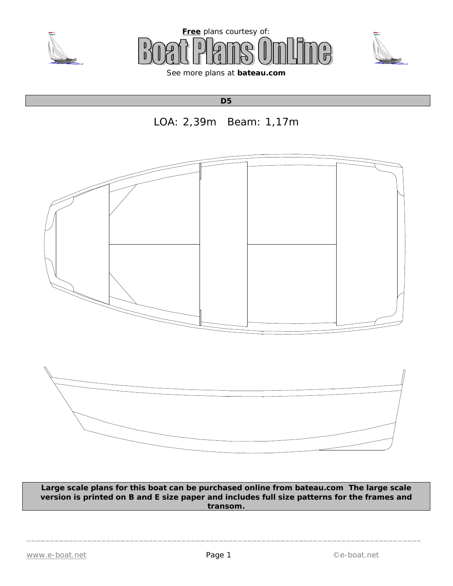





**D5**





**Large scale plans for this boat can be purchased online from bateau.com The large scale version is printed on B and E size paper and includes full size patterns for the frames and transom.**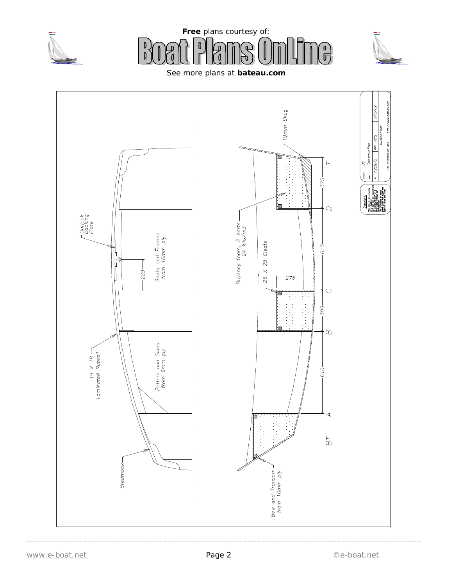





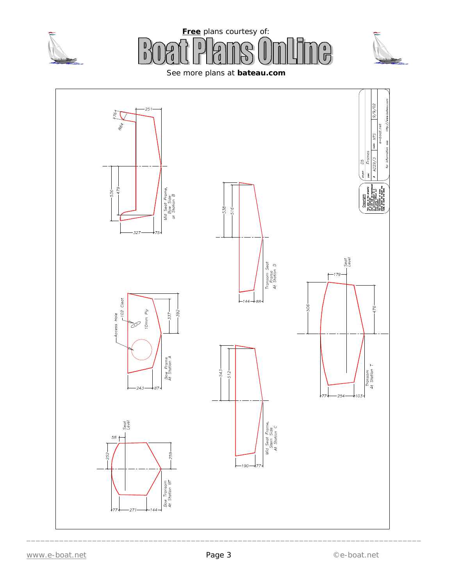





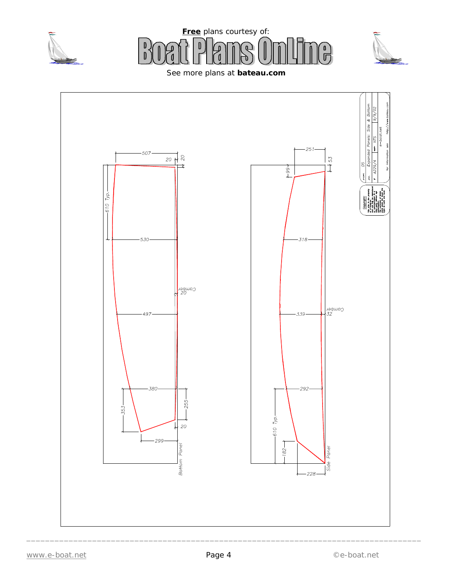





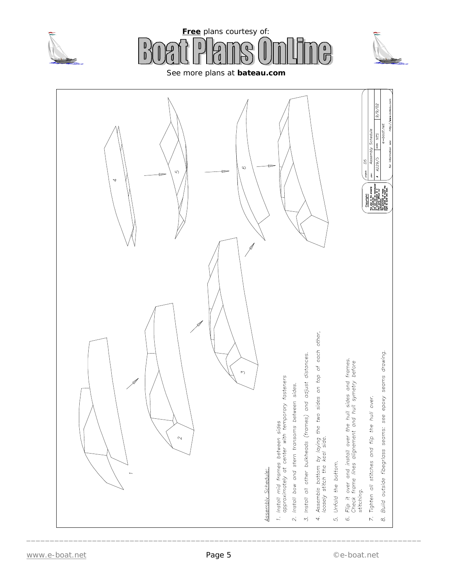





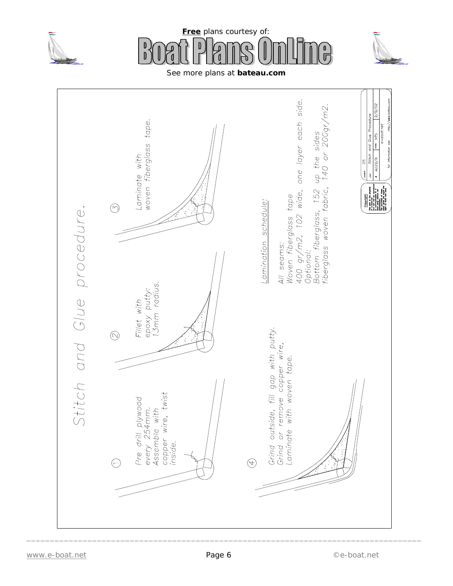





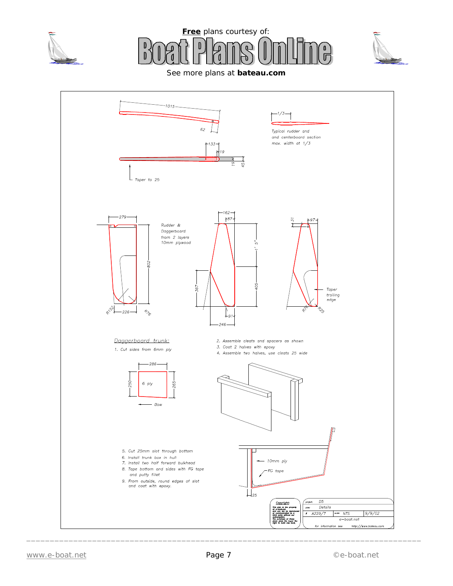





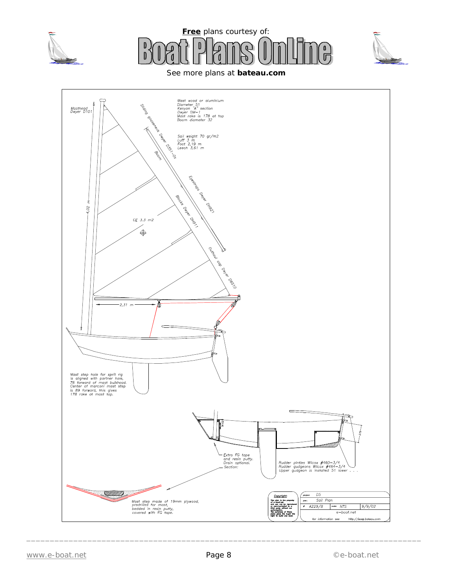





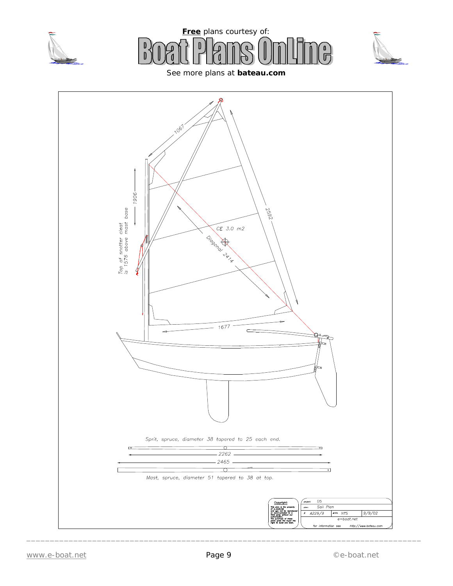





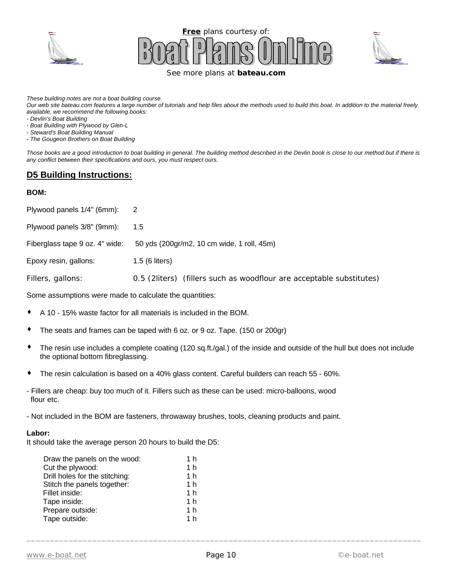





*These building notes are not a boat building course.*

*Our web site bateau.com features a large number of tutorials and help files about the methods used to build this boat. In addition to the material freely available, we recommend the following books:*

*- Devlin's Boat Building*

*- Boat Building with Plywood by Glen-L*

*- Steward's Boat Building Manual*

*- The Gougeon Brothers on Boat Building*

*Those books are a good introduction to boat building in general. The building method described in the Devlin book is close to our method but if there is any conflict between their specifications and ours, you must respect ours.*

# **D5 Building Instructions:**

#### **BOM:**

| Plywood panels 1/4" (6mm): 2   |                                                                      |  |
|--------------------------------|----------------------------------------------------------------------|--|
| Plywood panels 3/8" (9mm):     | $-1.5$                                                               |  |
| Fiberglass tape 9 oz. 4" wide: | 50 yds (200gr/m2, 10 cm wide, 1 roll, 45m)                           |  |
| Epoxy resin, gallons:          | $1.5(6$ liters)                                                      |  |
| Fillers, gallons:              | 0.5 (2liters) (fillers such as woodflour are acceptable substitutes) |  |
|                                |                                                                      |  |

Some assumptions were made to calculate the quantities:

- ♦ A 10 15% waste factor for all materials is included in the BOM.
- The seats and frames can be taped with 6 oz. or 9 oz. Tape. (150 or 200gr)
- ♦ The resin use includes a complete coating (120 sq.ft./gal.) of the inside and outside of the hull but does not include the optional bottom fibreglassing.
- ♦ The resin calculation is based on a 40% glass content. Careful builders can reach 55 60%.
- Fillers are cheap: buy too much of it. Fillers such as these can be used: micro-balloons, wood flour etc.
- Not included in the BOM are fasteners, throwaway brushes, tools, cleaning products and paint.

#### **Labor:**

It should take the average person 20 hours to build the D5:

| Draw the panels on the wood:   | 1 h            |
|--------------------------------|----------------|
| Cut the plywood:               | 1 <sub>h</sub> |
| Drill holes for the stitching: | 1 <sub>h</sub> |
| Stitch the panels together:    | 1 <sub>h</sub> |
| Fillet inside:                 | 1 <sub>h</sub> |
| Tape inside:                   | 1 <sub>h</sub> |
| Prepare outside:               | 1 <sub>h</sub> |
| Tape outside:                  | 1 <sub>h</sub> |
|                                |                |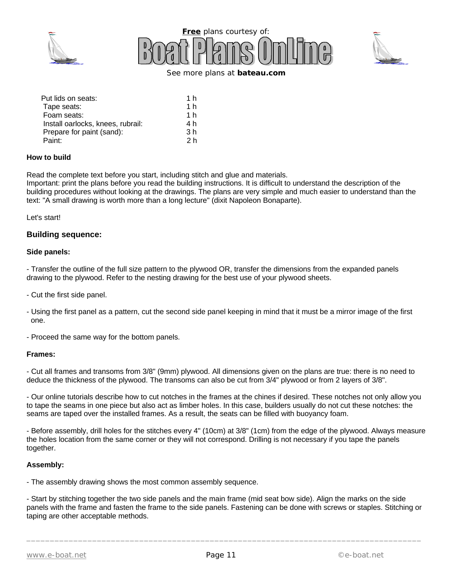





| Put lids on seats:                | 1 h |
|-----------------------------------|-----|
| Tape seats:                       | 1 h |
| Foam seats:                       | 1 h |
| Install oarlocks, knees, rubrail: | 4 h |
| Prepare for paint (sand):         | 3 h |
| Paint:                            | 2 h |
|                                   |     |

## **How to build**

Read the complete text before you start, including stitch and glue and materials.

Important: print the plans before you read the building instructions. It is difficult to understand the description of the building procedures without looking at the drawings. The plans are very simple and much easier to understand than the text: "A small drawing is worth more than a long lecture" (dixit Napoleon Bonaparte).

Let's start!

# **Building sequence:**

#### **Side panels:**

- Transfer the outline of the full size pattern to the plywood OR, transfer the dimensions from the expanded panels drawing to the plywood. Refer to the nesting drawing for the best use of your plywood sheets.

- Cut the first side panel.
- Using the first panel as a pattern, cut the second side panel keeping in mind that it must be a mirror image of the first one.
- Proceed the same way for the bottom panels.

#### **Frames:**

- Cut all frames and transoms from 3/8" (9mm) plywood. All dimensions given on the plans are true: there is no need to deduce the thickness of the plywood. The transoms can also be cut from 3/4" plywood or from 2 layers of 3/8".

- Our online tutorials describe how to cut notches in the frames at the chines if desired. These notches not only allow you to tape the seams in one piece but also act as limber holes. In this case, builders usually do not cut these notches: the seams are taped over the installed frames. As a result, the seats can be filled with buoyancy foam.

- Before assembly, drill holes for the stitches every 4" (10cm) at 3/8" (1cm) from the edge of the plywood. Always measure the holes location from the same corner or they will not correspond. Drilling is not necessary if you tape the panels together.

## **Assembly:**

- The assembly drawing shows the most common assembly sequence.

- Start by stitching together the two side panels and the main frame (mid seat bow side). Align the marks on the side panels with the frame and fasten the frame to the side panels. Fastening can be done with screws or staples. Stitching or taping are other acceptable methods.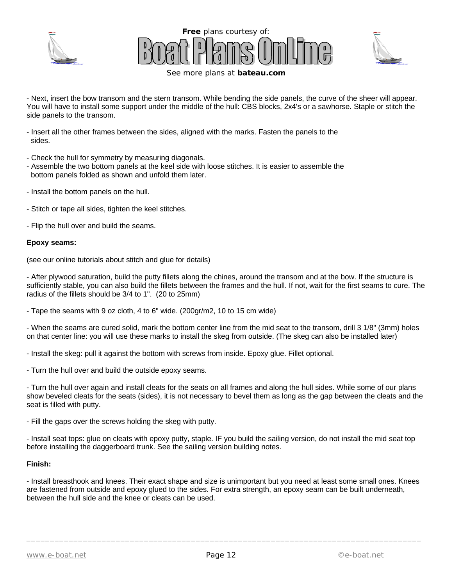





- Next, insert the bow transom and the stern transom. While bending the side panels, the curve of the sheer will appear. You will have to install some support under the middle of the hull: CBS blocks, 2x4's or a sawhorse. Staple or stitch the side panels to the transom.

- Insert all the other frames between the sides, aligned with the marks. Fasten the panels to the sides.
- Check the hull for symmetry by measuring diagonals.
- Assemble the two bottom panels at the keel side with loose stitches. It is easier to assemble the bottom panels folded as shown and unfold them later.
- Install the bottom panels on the hull.
- Stitch or tape all sides, tighten the keel stitches.
- Flip the hull over and build the seams.

#### **Epoxy seams:**

(see our online tutorials about stitch and glue for details)

- After plywood saturation, build the putty fillets along the chines, around the transom and at the bow. If the structure is sufficiently stable, you can also build the fillets between the frames and the hull. If not, wait for the first seams to cure. The radius of the fillets should be 3/4 to 1". (20 to 25mm)

- Tape the seams with 9 oz cloth, 4 to 6" wide. (200gr/m2, 10 to 15 cm wide)

- When the seams are cured solid, mark the bottom center line from the mid seat to the transom, drill 3 1/8" (3mm) holes on that center line: you will use these marks to install the skeg from outside. (The skeg can also be installed later)

- Install the skeg: pull it against the bottom with screws from inside. Epoxy glue. Fillet optional.
- Turn the hull over and build the outside epoxy seams.

- Turn the hull over again and install cleats for the seats on all frames and along the hull sides. While some of our plans show beveled cleats for the seats (sides), it is not necessary to bevel them as long as the gap between the cleats and the seat is filled with putty.

- Fill the gaps over the screws holding the skeg with putty.

- Install seat tops: glue on cleats with epoxy putty, staple. IF you build the sailing version, do not install the mid seat top before installing the daggerboard trunk. See the sailing version building notes.

## **Finish:**

- Install breasthook and knees. Their exact shape and size is unimportant but you need at least some small ones. Knees are fastened from outside and epoxy glued to the sides. For extra strength, an epoxy seam can be built underneath, between the hull side and the knee or cleats can be used.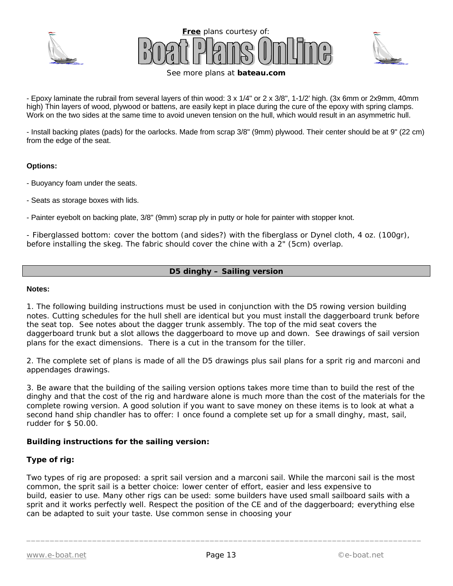





- Epoxy laminate the rubrail from several layers of thin wood: 3 x 1/4" or 2 x 3/8", 1-1/2' high. (3x 6mm or 2x9mm, 40mm high) Thin layers of wood, plywood or battens, are easily kept in place during the cure of the epoxy with spring clamps. Work on the two sides at the same time to avoid uneven tension on the hull, which would result in an asymmetric hull.

- Install backing plates (pads) for the oarlocks. Made from scrap 3/8" (9mm) plywood. Their center should be at 9" (22 cm) from the edge of the seat.

# **Options:**

- Buoyancy foam under the seats.
- Seats as storage boxes with lids.

- Painter eyebolt on backing plate, 3/8" (9mm) scrap ply in putty or hole for painter with stopper knot.

- Fiberglassed bottom: cover the bottom (and sides?) with the fiberglass or Dynel cloth, 4 oz. (100gr), before installing the skeg. The fabric should cover the chine with a 2" (5cm) overlap.

# **D5 dinghy – Sailing version**

#### **Notes:**

1. The following building instructions must be used in conjunction with the D5 rowing version building notes. Cutting schedules for the hull shell are identical but you must install the daggerboard trunk before the seat top. See notes about the dagger trunk assembly. The top of the mid seat covers the daggerboard trunk but a slot allows the daggerboard to move up and down. See drawings of sail version plans for the exact dimensions. There is a cut in the transom for the tiller.

2. The complete set of plans is made of all the D5 drawings plus sail plans for a sprit rig and marconi and appendages drawings.

3. Be aware that the building of the sailing version options takes more time than to build the rest of the dinghy and that the cost of the rig and hardware alone is much more than the cost of the materials for the complete rowing version. A good solution if you want to save money on these items is to look at what a second hand ship chandler has to offer: I once found a complete set up for a small dinghy, mast, sail, rudder for \$ 50.00.

# **Building instructions for the sailing version:**

## **Type of rig:**

Two types of rig are proposed: a sprit sail version and a marconi sail. While the marconi sail is the most common, the sprit sail is a better choice: lower center of effort, easier and less expensive to build, easier to use. Many other rigs can be used: some builders have used small sailboard sails with a sprit and it works perfectly well. Respect the position of the CE and of the daggerboard; everything else can be adapted to suit your taste. Use common sense in choosing your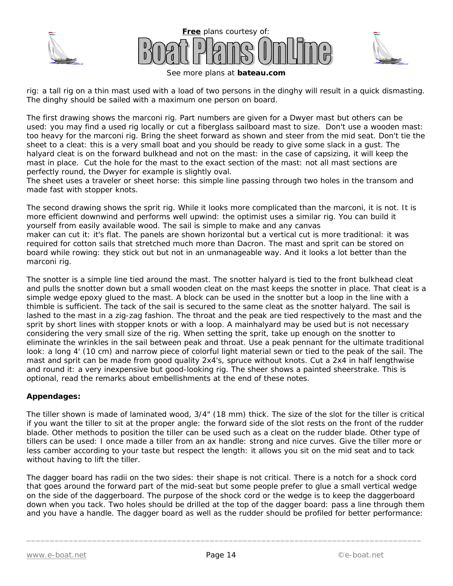





See more plans at *bateau.com*

rig: a tall rig on a thin mast used with a load of two persons in the dinghy will result in a quick dismasting. The dinghy should be sailed with a maximum one person on board.

The first drawing shows the marconi rig. Part numbers are given for a Dwyer mast but others can be used: you may find a used rig locally or cut a fiberglass sailboard mast to size. Don't use a wooden mast: too heavy for the marconi rig. Bring the sheet forward as shown and steer from the mid seat. Don't tie the sheet to a cleat: this is a very small boat and you should be ready to give some slack in a gust. The halyard cleat is on the forward bulkhead and not on the mast: in the case of capsizing, it will keep the mast in place. Cut the hole for the mast to the exact section of the mast: not all mast sections are perfectly round, the Dwyer for example is slightly oval.

The sheet uses a traveler or sheet horse: this simple line passing through two holes in the transom and made fast with stopper knots.

The second drawing shows the sprit rig. While it looks more complicated than the marconi, it is not. It is more efficient downwind and performs well upwind: the optimist uses a similar rig. You can build it yourself from easily available wood. The sail is simple to make and any canvas maker can cut it: it's flat. The panels are shown horizontal but a vertical cut is more traditional: it was required for cotton sails that stretched much more than Dacron. The mast and sprit can be stored on board while rowing: they stick out but not in an unmanageable way. And it looks a lot better than the marconi rig.

The snotter is a simple line tied around the mast. The snotter halyard is tied to the front bulkhead cleat and pulls the snotter down but a small wooden cleat on the mast keeps the snotter in place. That cleat is a simple wedge epoxy glued to the mast. A block can be used in the snotter but a loop in the line with a thimble is sufficient. The tack of the sail is secured to the same cleat as the snotter halyard. The sail is lashed to the mast in a zig-zag fashion. The throat and the peak are tied respectively to the mast and the sprit by short lines with stopper knots or with a loop. A mainhalyard may be used but is not necessary considering the very small size of the rig. When setting the sprit, take up enough on the snotter to eliminate the wrinkles in the sail between peak and throat. Use a peak pennant for the ultimate traditional look: a long 4' (10 cm) and narrow piece of colorful light material sewn or tied to the peak of the sail. The mast and sprit can be made from good quality 2x4's, spruce without knots. Cut a 2x4 in half lengthwise and round it: a very inexpensive but good-looking rig. The sheer shows a painted sheerstrake. This is optional, read the remarks about embellishments at the end of these notes.

# **Appendages:**

The tiller shown is made of laminated wood, 3/4" (18 mm) thick. The size of the slot for the tiller is critical if you want the tiller to sit at the proper angle: the forward side of the slot rests on the front of the rudder blade. Other methods to position the tiller can be used such as a cleat on the rudder blade. Other type of tillers can be used: I once made a tiller from an ax handle: strong and nice curves. Give the tiller more or less camber according to your taste but respect the length: it allows you sit on the mid seat and to tack without having to lift the tiller.

The dagger board has radii on the two sides: their shape is not critical. There is a notch for a shock cord that goes around the forward part of the mid-seat but some people prefer to glue a small vertical wedge on the side of the daggerboard. The purpose of the shock cord or the wedge is to keep the daggerboard down when you tack. Two holes should be drilled at the top of the dagger board: pass a line through them and you have a handle. The dagger board as well as the rudder should be profiled for better performance: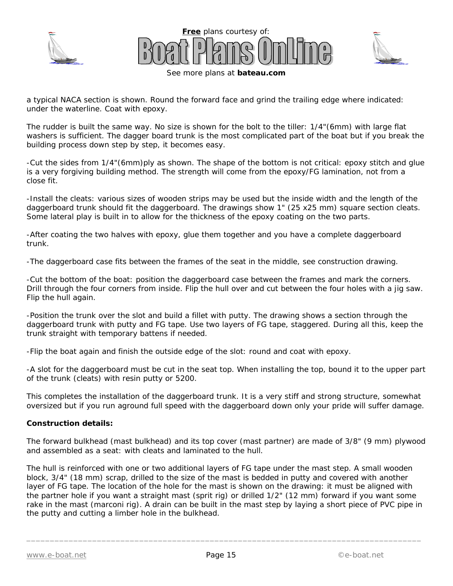





a typical NACA section is shown. Round the forward face and grind the trailing edge where indicated: under the waterline. Coat with epoxy.

The rudder is built the same way. No size is shown for the bolt to the tiller: 1/4"(6mm) with large flat washers is sufficient. The dagger board trunk is the most complicated part of the boat but if you break the building process down step by step, it becomes easy.

-Cut the sides from 1/4"(6mm)ply as shown. The shape of the bottom is not critical: epoxy stitch and glue is a very forgiving building method. The strength will come from the epoxy/FG lamination, not from a close fit.

-Install the cleats: various sizes of wooden strips may be used but the inside width and the length of the daggerboard trunk should fit the daggerboard. The drawings show 1" (25 x25 mm) square section cleats. Some lateral play is built in to allow for the thickness of the epoxy coating on the two parts.

-After coating the two halves with epoxy, glue them together and you have a complete daggerboard trunk.

-The daggerboard case fits between the frames of the seat in the middle, see construction drawing.

-Cut the bottom of the boat: position the daggerboard case between the frames and mark the corners. Drill through the four corners from inside. Flip the hull over and cut between the four holes with a jig saw. Flip the hull again.

-Position the trunk over the slot and build a fillet with putty. The drawing shows a section through the daggerboard trunk with putty and FG tape. Use two layers of FG tape, staggered. During all this, keep the trunk straight with temporary battens if needed.

-Flip the boat again and finish the outside edge of the slot: round and coat with epoxy.

-A slot for the daggerboard must be cut in the seat top. When installing the top, bound it to the upper part of the trunk (cleats) with resin putty or 5200.

This completes the installation of the daggerboard trunk. It is a very stiff and strong structure, somewhat oversized but if you run aground full speed with the daggerboard down only your pride will suffer damage.

# **Construction details:**

The forward bulkhead (mast bulkhead) and its top cover (mast partner) are made of 3/8" (9 mm) plywood and assembled as a seat: with cleats and laminated to the hull.

The hull is reinforced with one or two additional layers of FG tape under the mast step. A small wooden block, 3/4" (18 mm) scrap, drilled to the size of the mast is bedded in putty and covered with another layer of FG tape. The location of the hole for the mast is shown on the drawing: it must be aligned with the partner hole if you want a straight mast (sprit rig) or drilled 1/2" (12 mm) forward if you want some rake in the mast (marconi rig). A drain can be built in the mast step by laying a short piece of PVC pipe in the putty and cutting a limber hole in the bulkhead.